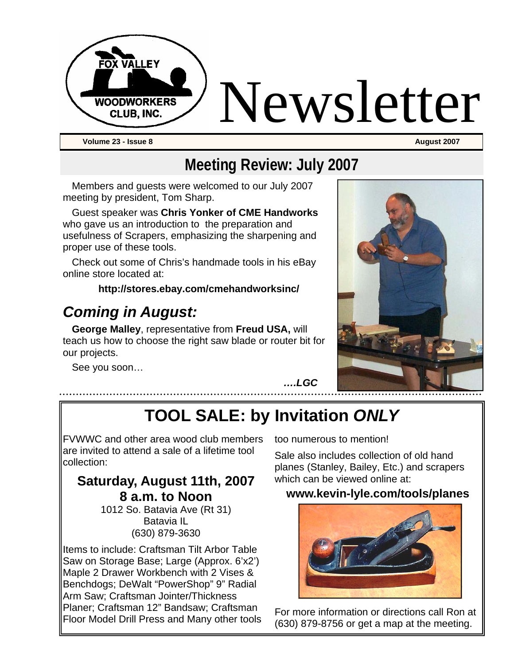

## **Meeting Review: July 2007**

Members and guests were welcomed to our July 2007 meeting by president, Tom Sharp.

Guest speaker was **Chris Yonker of CME Handworks** who gave us an introduction to the preparation and usefulness of Scrapers, emphasizing the sharpening and proper use of these tools.

Check out some of Chris's handmade tools in his eBay online store located at:

#### **http://stores.ebay.com/cmehandworksinc/**

## *Coming in August:*

**George Malley**, representative from **Freud USA,** will teach us how to choose the right saw blade or router bit for our projects.

See you soon…



*….LGC* 

# **TOOL SALE: by Invitation** *ONLY*

FVWWC and other area wood club members are invited to attend a sale of a lifetime tool collection:

#### **Saturday, August 11th, 2007 8 a.m. to Noon**

1012 So. Batavia Ave (Rt 31) Batavia IL (630) 879-3630

Items to include: Craftsman Tilt Arbor Table Saw on Storage Base; Large (Approx. 6'x2') Maple 2 Drawer Workbench with 2 Vises & Benchdogs; DeWalt "PowerShop" 9" Radial Arm Saw; Craftsman Jointer/Thickness Planer; Craftsman 12" Bandsaw; Craftsman Floor Model Drill Press and Many other tools too numerous to mention!

Sale also includes collection of old hand planes (Stanley, Bailey, Etc.) and scrapers which can be viewed online at:

#### **www.kevin-lyle.com/tools/planes**



For more information or directions call Ron at (630) 879-8756 or get a map at the meeting.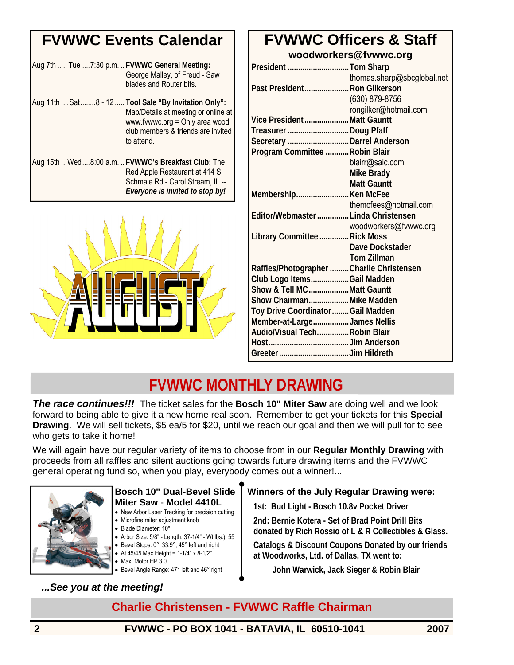## **FVWWC Events Calendar**

| Aug 7th  Tue  7:30 p.m.  FVWWC General Meeting: | George Malley, of Freud - Saw<br>blades and Router bits.                                                                                                                            |
|-------------------------------------------------|-------------------------------------------------------------------------------------------------------------------------------------------------------------------------------------|
|                                                 | Aug 11th  Sat  8 - 12  Tool Sale "By Invitation Only":<br>Map/Details at meeting or online at<br>www.fvwwc.org = Only area wood<br>club members & friends are invited<br>to attend. |
|                                                 | Aug 15th  Wed  8:00 a.m.  FVWWC's Breakfast Club: The<br>Red Apple Restaurant at 414 S<br>Schmale Rd - Carol Stream, IL --<br>Everyone is invited to stop by!                       |



### **FVWWC Officers & Staff woodworkers@fvwwc.org**

| President Tom Sharp                       |                            |
|-------------------------------------------|----------------------------|
|                                           | thomas.sharp@sbcglobal.net |
| Past President Ron Gilkerson              |                            |
|                                           | (630) 879-8756             |
|                                           | rongilker@hotmail.com      |
| Vice President  Matt Gauntt               |                            |
| Treasurer Doug Pfaff                      |                            |
| Secretary  Darrel Anderson                |                            |
| Program Committee  Robin Blair            |                            |
|                                           | blairr@saic.com            |
|                                           | Mike Brady                 |
|                                           | <b>Matt Gauntt</b>         |
| MembershipKen McFee                       |                            |
|                                           | themcfees@hotmail.com      |
| Editor/Webmaster  Linda Christensen       |                            |
|                                           | woodworkers@fvwwc.org      |
| Library Committee  Rick Moss              |                            |
|                                           | Dave Dockstader            |
|                                           | <b>Tom Zillman</b>         |
| Raffles/Photographer  Charlie Christensen |                            |
| Club Logo ItemsGail Madden                |                            |
| Show & Tell MCMatt Gauntt                 |                            |
| Show Chairman Mike Madden                 |                            |
| Toy Drive Coordinator  Gail Madden        |                            |
| Member-at-LargeJames Nellis               |                            |
| Audio/Visual TechRobin Blair              |                            |
|                                           |                            |
|                                           |                            |

## **FVWWC MONTHLY DRAWING**

*The race continues!!!* The ticket sales for the **Bosch 10" Miter Saw** are doing well and we look forward to being able to give it a new home real soon. Remember to get your tickets for this **Special Drawing**. We will sell tickets, \$5 ea/5 for \$20, until we reach our goal and then we will pull for to see who gets to take it home!

We will again have our regular variety of items to choose from in our **Regular Monthly Drawing** with proceeds from all raffles and silent auctions going towards future drawing items and the FVWWC general operating fund so, when you play, everybody comes out a winner!...



#### **Bosch 10" Dual-Bevel Slide Miter Saw** - **Model 4410L**

- New Arbor Laser Tracking for precision cutting
- Microfine miter adjustment knob
- Blade Diameter: 10″
- Arbor Size: 5/8″ Length: 37-1/4″ Wt lbs.): 55 • Bevel Stops: 0°, 33.9°, 45° left and right
- At 45/45 Max Height = 1-1/4" x 8-1/2"
- Max. Motor HP 3.0
- Bevel Angle Range: 47° left and 46° right

#### *...See you at the meeting!*

#### **Winners of the July Regular Drawing were:**

**1st: Bud Light - Bosch 10.8v Pocket Driver** 

**2nd: Bernie Kotera - Set of Brad Point Drill Bits donated by Rich Rossio of L & R Collectibles & Glass.** 

**Catalogs & Discount Coupons Donated by our friends at Woodworks, Ltd. of Dallas, TX went to:** 

 **John Warwick, Jack Sieger & Robin Blair**

### **Charlie Christensen - FVWWC Raffle Chairman**

**2 FVWWC - PO BOX 1041 - BATAVIA, IL 60510-1041 2007**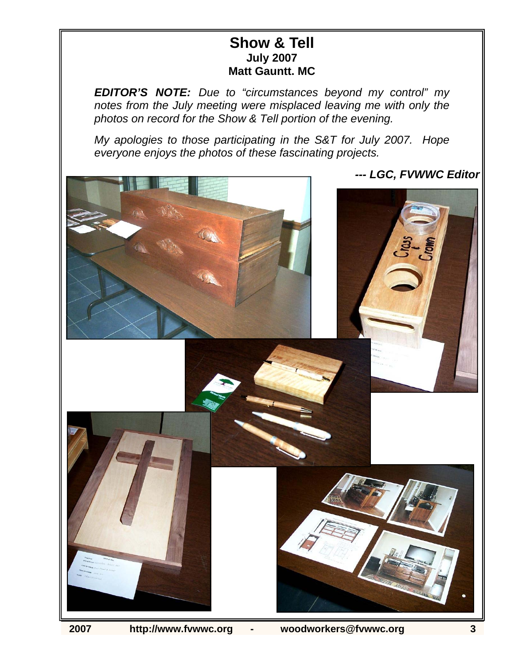### **Show & Tell July 2007 Matt Gauntt. MC**

*EDITOR'S NOTE: Due to "circumstances beyond my control" my notes from the July meeting were misplaced leaving me with only the photos on record for the Show & Tell portion of the evening.* 

*My apologies to those participating in the S&T for July 2007. Hope everyone enjoys the photos of these fascinating projects.* 

*--- LGC, FVWWC Editor*